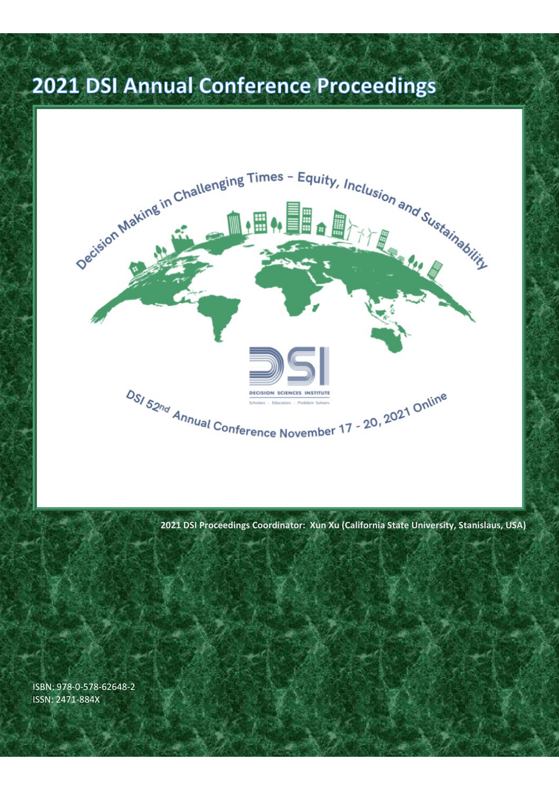#### 2021 DSI Annual Conference Proceedings



**2021 DSI Proceedings Coordinator: Xun Xu (California State University, Stanislaus, USA)**

ISBN: 978-0-578-62648-2 ISSN: 2471-884X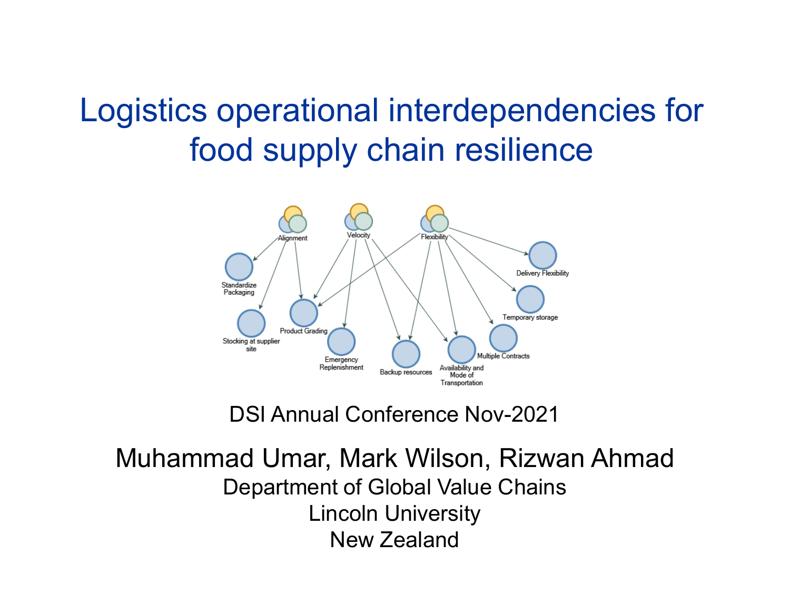#### Logistics operational interdependencies for food supply chain resilience



DSI Annual Conference Nov-2021

Muhammad Umar, Mark Wilson, Rizwan Ahmad Department of Global Value Chains Lincoln University New Zealand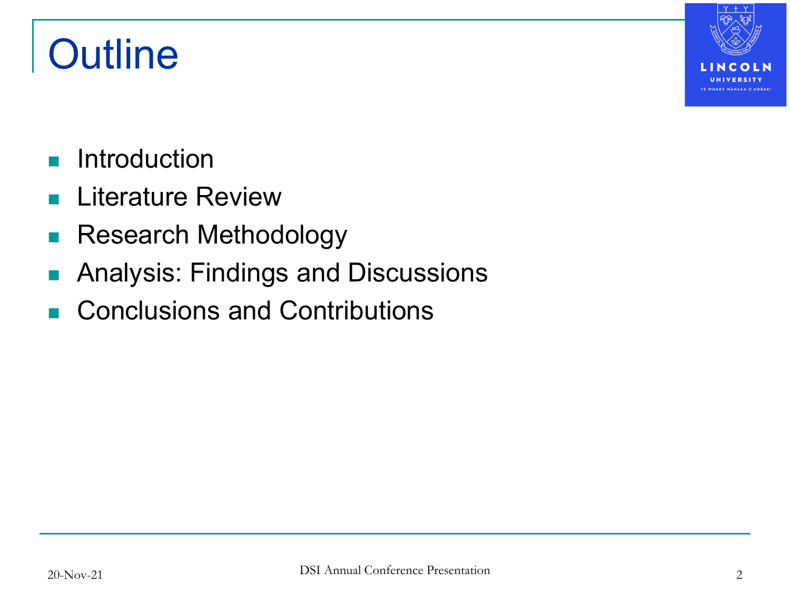## **Outline**



- **Introduction**
- **Literature Review**
- **Research Methodology**
- **Analysis: Findings and Discussions**
- Conclusions and Contributions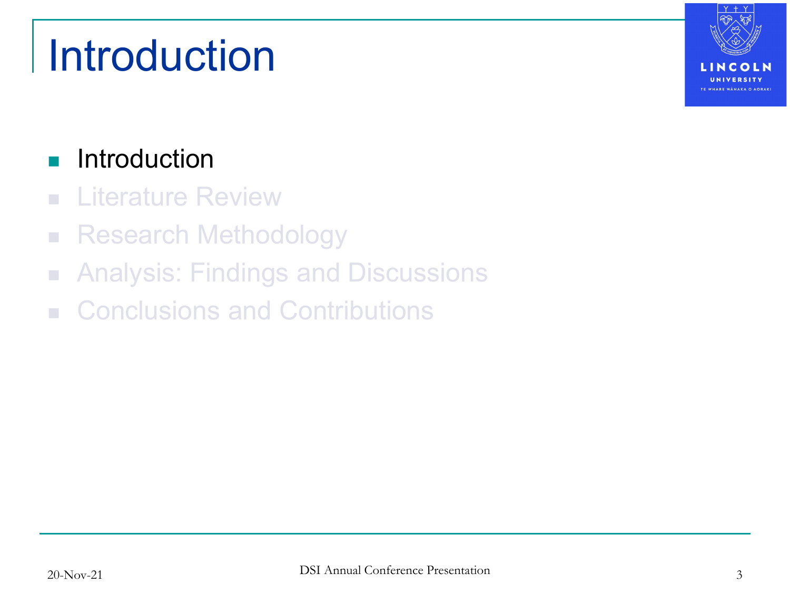## Introduction

#### **Introduction**

- **E** Literature Review
- **Research Methodology**
- **Analysis: Findings and Discussions**
- Conclusions and Contributions

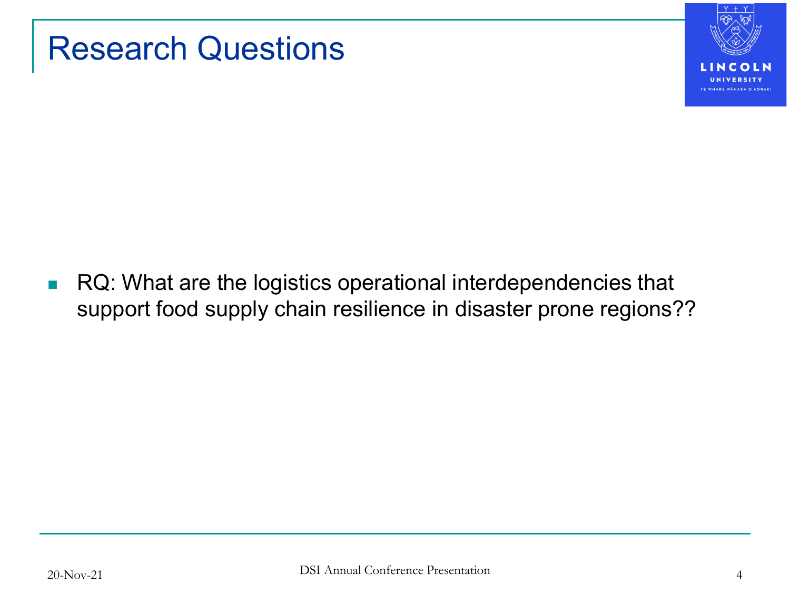

#### Research Questions

**RQ: What are the logistics operational interdependencies that** support food supply chain resilience in disaster prone regions??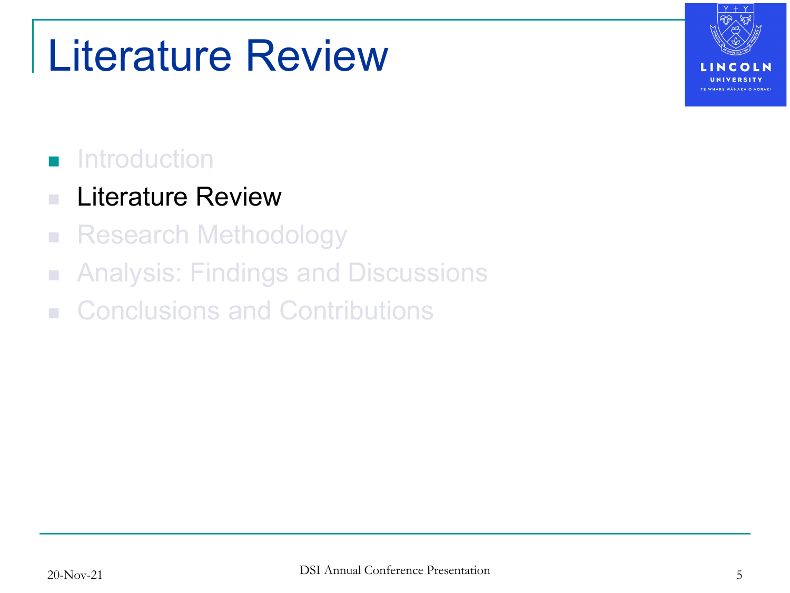## Literature Review

#### **n** Introduction

#### **Literature Review**

- **Research Methodology**
- **Analysis: Findings and Discussions**
- Conclusions and Contributions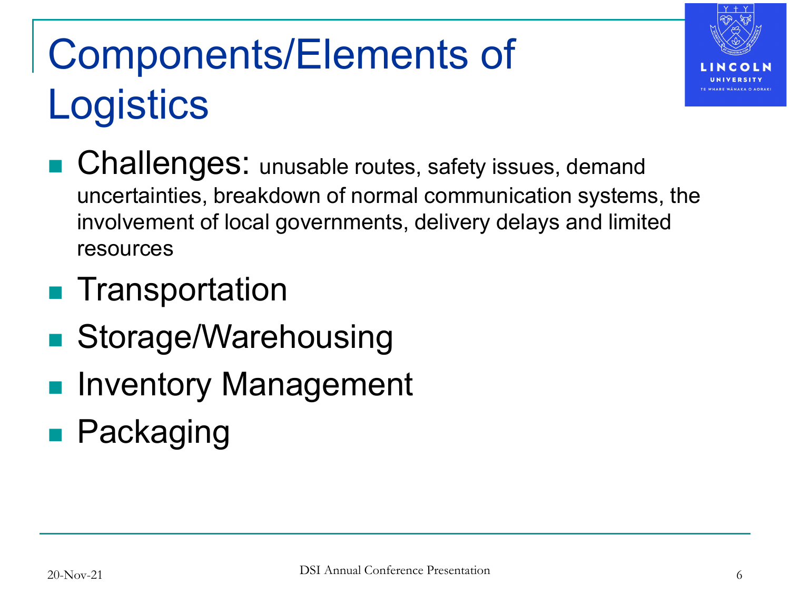## Components/Elements of **Logistics**



- **Challenges:** unusable routes, safety issues, demand uncertainties, breakdown of normal communication systems, the involvement of local governments, delivery delays and limited resources
- **Transportation**
- Storage/Warehousing
- Inventory Management
- **Packaging**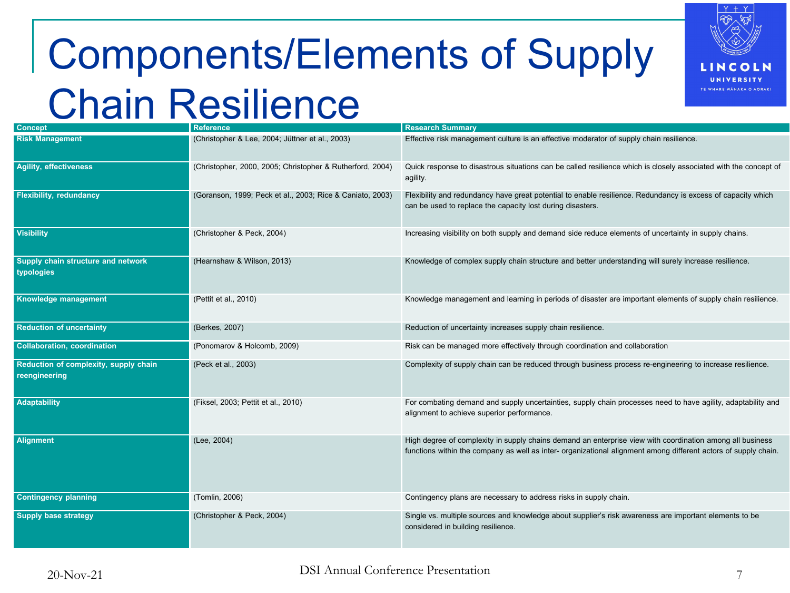## Components/Elements of Supply Chain Resilience



| <b>Concept</b>                                         | <b>Reference</b>                                          | <b>Research Summary</b>                                                                                                                                                                                                      |  |
|--------------------------------------------------------|-----------------------------------------------------------|------------------------------------------------------------------------------------------------------------------------------------------------------------------------------------------------------------------------------|--|
|                                                        |                                                           |                                                                                                                                                                                                                              |  |
| <b>Risk Management</b>                                 | (Christopher & Lee, 2004; Jüttner et al., 2003)           | Effective risk management culture is an effective moderator of supply chain resilience.                                                                                                                                      |  |
| <b>Agility, effectiveness</b>                          | (Christopher, 2000, 2005; Christopher & Rutherford, 2004) | Quick response to disastrous situations can be called resilience which is closely associated with the concept of<br>agility.                                                                                                 |  |
| <b>Flexibility, redundancy</b>                         | (Goranson, 1999; Peck et al., 2003; Rice & Caniato, 2003) | Flexibility and redundancy have great potential to enable resilience. Redundancy is excess of capacity which<br>can be used to replace the capacity lost during disasters.                                                   |  |
| <b>Visibility</b>                                      | (Christopher & Peck, 2004)                                | Increasing visibility on both supply and demand side reduce elements of uncertainty in supply chains.                                                                                                                        |  |
| Supply chain structure and network<br>typologies       | (Hearnshaw & Wilson, 2013)                                | Knowledge of complex supply chain structure and better understanding will surely increase resilience.                                                                                                                        |  |
| Knowledge management                                   | (Pettit et al., 2010)                                     | Knowledge management and learning in periods of disaster are important elements of supply chain resilience.                                                                                                                  |  |
| <b>Reduction of uncertainty</b>                        | (Berkes, 2007)                                            | Reduction of uncertainty increases supply chain resilience.                                                                                                                                                                  |  |
| <b>Collaboration, coordination</b>                     | (Ponomarov & Holcomb, 2009)                               | Risk can be managed more effectively through coordination and collaboration                                                                                                                                                  |  |
| Reduction of complexity, supply chain<br>reengineering | (Peck et al., 2003)                                       | Complexity of supply chain can be reduced through business process re-engineering to increase resilience.                                                                                                                    |  |
| Adaptability                                           | (Fiksel, 2003; Pettit et al., 2010)                       | For combating demand and supply uncertainties, supply chain processes need to have agility, adaptability and<br>alignment to achieve superior performance.                                                                   |  |
| <b>Alignment</b>                                       | (Lee, 2004)                                               | High degree of complexity in supply chains demand an enterprise view with coordination among all business<br>functions within the company as well as inter- organizational alignment among different actors of supply chain. |  |
| <b>Contingency planning</b>                            | (Tomlin, 2006)                                            | Contingency plans are necessary to address risks in supply chain.                                                                                                                                                            |  |
| <b>Supply base strategy</b>                            | (Christopher & Peck, 2004)                                | Single vs. multiple sources and knowledge about supplier's risk awareness are important elements to be<br>considered in building resilience.                                                                                 |  |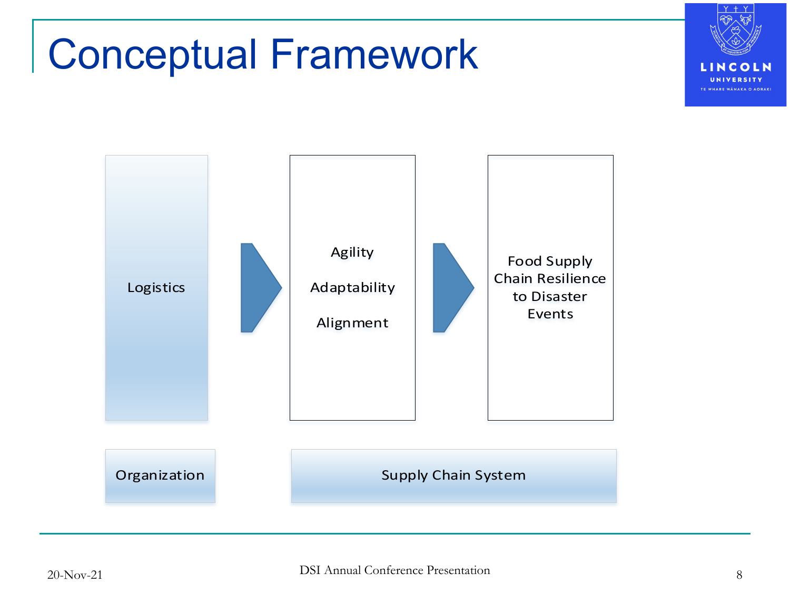#### Conceptual Framework



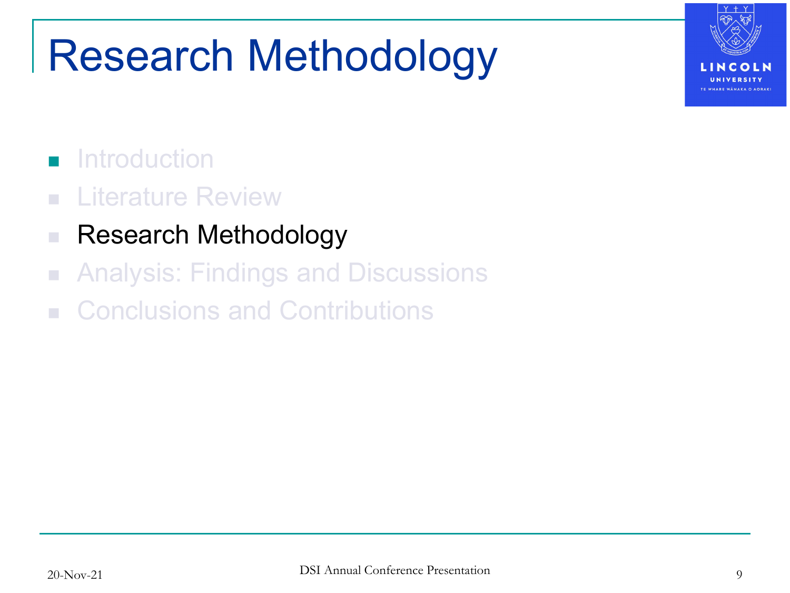## Research Methodology



#### **n** Introduction

- **E** Literature Review
- Research Methodology
- **Analysis: Findings and Discussions**
- **E.** Conclusions and Contributions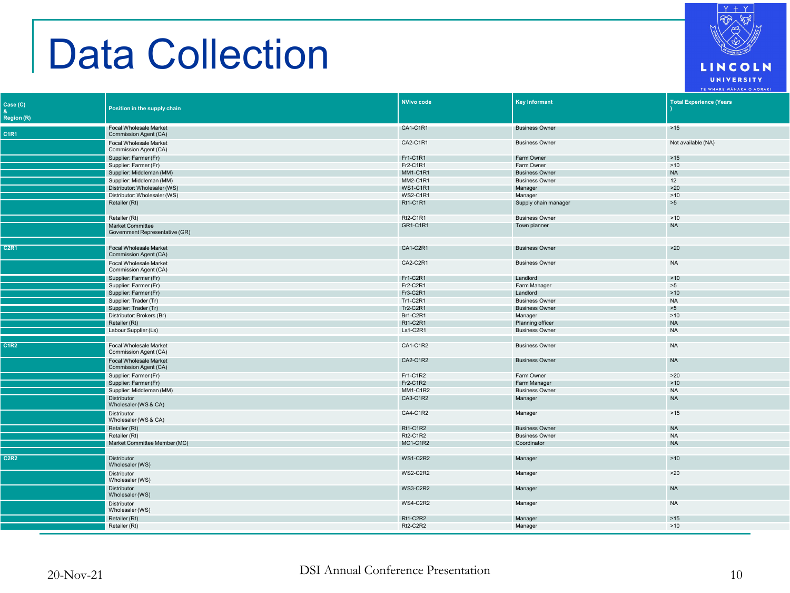#### Data Collection

| C1R1<br>Commission Agent (CA)<br>CA2-C1R1<br>Not available (NA)<br>Focal Wholesale Market<br><b>Business Owner</b><br>Commission Agent (CA)<br>Fr1-C1R1<br>>15<br>Supplier: Farmer (Fr)<br>Farm Owner<br>Fr2-C1R1<br>Supplier: Farmer (Fr)<br>Farm Owner<br>>10<br>Supplier: Middleman (MM)<br><b>NA</b><br><b>MM1-C1R1</b><br><b>Business Owner</b><br>Supplier: Middleman (MM)<br><b>MM2-C1R1</b><br><b>Business Owner</b><br>12<br>Distributor: Wholesaler (WS)<br><b>WS1-C1R1</b><br>>20<br>Manager<br>>10<br>Distributor: Wholesaler (WS)<br><b>WS2-C1R1</b><br>Manager<br>Retailer (Rt)<br><b>Rt1-C1R1</b><br>>5<br>Supply chain manager<br>Retailer (Rt)<br>Rt2-C1R1<br><b>Business Owner</b><br>>10<br>GR1-C1R1<br><b>NA</b><br><b>Market Committee</b><br>Town planner<br>Government Representative (GR)<br>Focal Wholesale Market<br>CA1-C2R1<br><b>Business Owner</b><br>>20<br>Commission Agent (CA)<br>Focal Wholesale Market<br>CA2-C2R1<br><b>Business Owner</b><br><b>NA</b><br>Commission Agent (CA)<br>Supplier: Farmer (Fr)<br>Fr1-C2R1<br>Landlord<br>>10<br>Fr2-C2R1<br>>5<br>Supplier: Farmer (Fr)<br>Farm Manager<br>Fr3-C2R1<br>Landlord<br>>10<br>Supplier: Farmer (Fr)<br>Tr1-C2R1<br><b>Business Owner</b><br><b>NA</b><br>Supplier: Trader (Tr)<br>Tr2-C2R1<br>>5<br>Supplier: Trader (Tr)<br><b>Business Owner</b><br>Br1-C2R1<br>Distributor: Brokers (Br)<br>Manager<br>>10<br>Rt1-C2R1<br>Retailer (Rt)<br>Planning officer<br><b>NA</b><br>Labour Supplier (Ls)<br>Ls1-C2R1<br><b>NA</b><br><b>Business Owner</b><br>C1R2<br>CA1-C1R2<br><b>Business Owner</b><br>Focal Wholesale Market<br><b>NA</b><br>Commission Agent (CA)<br><b>Focal Wholesale Market</b><br>CA2-C1R2<br><b>Business Owner</b><br><b>NA</b><br>Commission Agent (CA)<br>Fr1-C1R2<br>Supplier: Farmer (Fr)<br>Farm Owner<br>>20<br>Supplier: Farmer (Fr)<br>Fr2-C1R2<br>Farm Manager<br>>10<br>Supplier: Middleman (MM)<br><b>MM1-C1R2</b><br><b>Business Owner</b><br><b>NA</b><br>Distributor<br>CA3-C1R2<br><b>NA</b><br>Manager<br>Wholesaler (WS & CA)<br>CA4-C1R2<br>Manager<br>>15<br><b>Distributor</b><br>Wholesaler (WS & CA)<br>Retailer (Rt)<br><b>Rt1-C1R2</b><br><b>Business Owner</b><br><b>NA</b><br>Retailer (Rt)<br>Rt2-C1R2<br><b>Business Owner</b><br><b>NA</b><br>Market Committee Member (MC)<br><b>MC1-C1R2</b><br>Coordinator<br><b>NA</b><br>C2R2<br>Distributor<br><b>WS1-C2R2</b><br>>10<br>Manager<br>Wholesaler (WS)<br><b>WS2-C2R2</b><br>>20<br>Distributor<br>Manager<br>Wholesaler (WS)<br><b>Distributor</b><br><b>WS3-C2R2</b><br>Manager<br><b>NA</b><br>Wholesaler (WS)<br><b>WS4-C2R2</b><br>Distributor<br><b>NA</b><br>Manager<br>Wholesaler (WS)<br>Retailer (Rt)<br>Rt1-C2R2<br>Manager<br>$>15$<br>Retailer (Rt)<br>Rt2-C2R2<br>>10<br>Manager | Case (C)<br><b>Region (R)</b> | Position in the supply chain  | NVivo code | <b>Key Informant</b>  | <b>Total Experience (Years</b> |
|--------------------------------------------------------------------------------------------------------------------------------------------------------------------------------------------------------------------------------------------------------------------------------------------------------------------------------------------------------------------------------------------------------------------------------------------------------------------------------------------------------------------------------------------------------------------------------------------------------------------------------------------------------------------------------------------------------------------------------------------------------------------------------------------------------------------------------------------------------------------------------------------------------------------------------------------------------------------------------------------------------------------------------------------------------------------------------------------------------------------------------------------------------------------------------------------------------------------------------------------------------------------------------------------------------------------------------------------------------------------------------------------------------------------------------------------------------------------------------------------------------------------------------------------------------------------------------------------------------------------------------------------------------------------------------------------------------------------------------------------------------------------------------------------------------------------------------------------------------------------------------------------------------------------------------------------------------------------------------------------------------------------------------------------------------------------------------------------------------------------------------------------------------------------------------------------------------------------------------------------------------------------------------------------------------------------------------------------------------------------------------------------------------------------------------------------------------------------------------------------------------------------------------------------------------------------------------------------------------------------------------------------------------------------------------------------------------------------------------------------------------------------------------------------------|-------------------------------|-------------------------------|------------|-----------------------|--------------------------------|
|                                                                                                                                                                                                                                                                                                                                                                                                                                                                                                                                                                                                                                                                                                                                                                                                                                                                                                                                                                                                                                                                                                                                                                                                                                                                                                                                                                                                                                                                                                                                                                                                                                                                                                                                                                                                                                                                                                                                                                                                                                                                                                                                                                                                                                                                                                                                                                                                                                                                                                                                                                                                                                                                                                                                                                                                  |                               | <b>Focal Wholesale Market</b> | CA1-C1R1   | <b>Business Owner</b> | $>15$                          |
|                                                                                                                                                                                                                                                                                                                                                                                                                                                                                                                                                                                                                                                                                                                                                                                                                                                                                                                                                                                                                                                                                                                                                                                                                                                                                                                                                                                                                                                                                                                                                                                                                                                                                                                                                                                                                                                                                                                                                                                                                                                                                                                                                                                                                                                                                                                                                                                                                                                                                                                                                                                                                                                                                                                                                                                                  |                               |                               |            |                       |                                |
|                                                                                                                                                                                                                                                                                                                                                                                                                                                                                                                                                                                                                                                                                                                                                                                                                                                                                                                                                                                                                                                                                                                                                                                                                                                                                                                                                                                                                                                                                                                                                                                                                                                                                                                                                                                                                                                                                                                                                                                                                                                                                                                                                                                                                                                                                                                                                                                                                                                                                                                                                                                                                                                                                                                                                                                                  |                               |                               |            |                       |                                |
|                                                                                                                                                                                                                                                                                                                                                                                                                                                                                                                                                                                                                                                                                                                                                                                                                                                                                                                                                                                                                                                                                                                                                                                                                                                                                                                                                                                                                                                                                                                                                                                                                                                                                                                                                                                                                                                                                                                                                                                                                                                                                                                                                                                                                                                                                                                                                                                                                                                                                                                                                                                                                                                                                                                                                                                                  |                               |                               |            |                       |                                |
|                                                                                                                                                                                                                                                                                                                                                                                                                                                                                                                                                                                                                                                                                                                                                                                                                                                                                                                                                                                                                                                                                                                                                                                                                                                                                                                                                                                                                                                                                                                                                                                                                                                                                                                                                                                                                                                                                                                                                                                                                                                                                                                                                                                                                                                                                                                                                                                                                                                                                                                                                                                                                                                                                                                                                                                                  |                               |                               |            |                       |                                |
|                                                                                                                                                                                                                                                                                                                                                                                                                                                                                                                                                                                                                                                                                                                                                                                                                                                                                                                                                                                                                                                                                                                                                                                                                                                                                                                                                                                                                                                                                                                                                                                                                                                                                                                                                                                                                                                                                                                                                                                                                                                                                                                                                                                                                                                                                                                                                                                                                                                                                                                                                                                                                                                                                                                                                                                                  |                               |                               |            |                       |                                |
|                                                                                                                                                                                                                                                                                                                                                                                                                                                                                                                                                                                                                                                                                                                                                                                                                                                                                                                                                                                                                                                                                                                                                                                                                                                                                                                                                                                                                                                                                                                                                                                                                                                                                                                                                                                                                                                                                                                                                                                                                                                                                                                                                                                                                                                                                                                                                                                                                                                                                                                                                                                                                                                                                                                                                                                                  |                               |                               |            |                       |                                |
|                                                                                                                                                                                                                                                                                                                                                                                                                                                                                                                                                                                                                                                                                                                                                                                                                                                                                                                                                                                                                                                                                                                                                                                                                                                                                                                                                                                                                                                                                                                                                                                                                                                                                                                                                                                                                                                                                                                                                                                                                                                                                                                                                                                                                                                                                                                                                                                                                                                                                                                                                                                                                                                                                                                                                                                                  |                               |                               |            |                       |                                |
|                                                                                                                                                                                                                                                                                                                                                                                                                                                                                                                                                                                                                                                                                                                                                                                                                                                                                                                                                                                                                                                                                                                                                                                                                                                                                                                                                                                                                                                                                                                                                                                                                                                                                                                                                                                                                                                                                                                                                                                                                                                                                                                                                                                                                                                                                                                                                                                                                                                                                                                                                                                                                                                                                                                                                                                                  |                               |                               |            |                       |                                |
|                                                                                                                                                                                                                                                                                                                                                                                                                                                                                                                                                                                                                                                                                                                                                                                                                                                                                                                                                                                                                                                                                                                                                                                                                                                                                                                                                                                                                                                                                                                                                                                                                                                                                                                                                                                                                                                                                                                                                                                                                                                                                                                                                                                                                                                                                                                                                                                                                                                                                                                                                                                                                                                                                                                                                                                                  |                               |                               |            |                       |                                |
|                                                                                                                                                                                                                                                                                                                                                                                                                                                                                                                                                                                                                                                                                                                                                                                                                                                                                                                                                                                                                                                                                                                                                                                                                                                                                                                                                                                                                                                                                                                                                                                                                                                                                                                                                                                                                                                                                                                                                                                                                                                                                                                                                                                                                                                                                                                                                                                                                                                                                                                                                                                                                                                                                                                                                                                                  |                               |                               |            |                       |                                |
|                                                                                                                                                                                                                                                                                                                                                                                                                                                                                                                                                                                                                                                                                                                                                                                                                                                                                                                                                                                                                                                                                                                                                                                                                                                                                                                                                                                                                                                                                                                                                                                                                                                                                                                                                                                                                                                                                                                                                                                                                                                                                                                                                                                                                                                                                                                                                                                                                                                                                                                                                                                                                                                                                                                                                                                                  | C2R1                          |                               |            |                       |                                |
|                                                                                                                                                                                                                                                                                                                                                                                                                                                                                                                                                                                                                                                                                                                                                                                                                                                                                                                                                                                                                                                                                                                                                                                                                                                                                                                                                                                                                                                                                                                                                                                                                                                                                                                                                                                                                                                                                                                                                                                                                                                                                                                                                                                                                                                                                                                                                                                                                                                                                                                                                                                                                                                                                                                                                                                                  |                               |                               |            |                       |                                |
|                                                                                                                                                                                                                                                                                                                                                                                                                                                                                                                                                                                                                                                                                                                                                                                                                                                                                                                                                                                                                                                                                                                                                                                                                                                                                                                                                                                                                                                                                                                                                                                                                                                                                                                                                                                                                                                                                                                                                                                                                                                                                                                                                                                                                                                                                                                                                                                                                                                                                                                                                                                                                                                                                                                                                                                                  |                               |                               |            |                       |                                |
|                                                                                                                                                                                                                                                                                                                                                                                                                                                                                                                                                                                                                                                                                                                                                                                                                                                                                                                                                                                                                                                                                                                                                                                                                                                                                                                                                                                                                                                                                                                                                                                                                                                                                                                                                                                                                                                                                                                                                                                                                                                                                                                                                                                                                                                                                                                                                                                                                                                                                                                                                                                                                                                                                                                                                                                                  |                               |                               |            |                       |                                |
|                                                                                                                                                                                                                                                                                                                                                                                                                                                                                                                                                                                                                                                                                                                                                                                                                                                                                                                                                                                                                                                                                                                                                                                                                                                                                                                                                                                                                                                                                                                                                                                                                                                                                                                                                                                                                                                                                                                                                                                                                                                                                                                                                                                                                                                                                                                                                                                                                                                                                                                                                                                                                                                                                                                                                                                                  |                               |                               |            |                       |                                |
|                                                                                                                                                                                                                                                                                                                                                                                                                                                                                                                                                                                                                                                                                                                                                                                                                                                                                                                                                                                                                                                                                                                                                                                                                                                                                                                                                                                                                                                                                                                                                                                                                                                                                                                                                                                                                                                                                                                                                                                                                                                                                                                                                                                                                                                                                                                                                                                                                                                                                                                                                                                                                                                                                                                                                                                                  |                               |                               |            |                       |                                |
|                                                                                                                                                                                                                                                                                                                                                                                                                                                                                                                                                                                                                                                                                                                                                                                                                                                                                                                                                                                                                                                                                                                                                                                                                                                                                                                                                                                                                                                                                                                                                                                                                                                                                                                                                                                                                                                                                                                                                                                                                                                                                                                                                                                                                                                                                                                                                                                                                                                                                                                                                                                                                                                                                                                                                                                                  |                               |                               |            |                       |                                |
|                                                                                                                                                                                                                                                                                                                                                                                                                                                                                                                                                                                                                                                                                                                                                                                                                                                                                                                                                                                                                                                                                                                                                                                                                                                                                                                                                                                                                                                                                                                                                                                                                                                                                                                                                                                                                                                                                                                                                                                                                                                                                                                                                                                                                                                                                                                                                                                                                                                                                                                                                                                                                                                                                                                                                                                                  |                               |                               |            |                       |                                |
|                                                                                                                                                                                                                                                                                                                                                                                                                                                                                                                                                                                                                                                                                                                                                                                                                                                                                                                                                                                                                                                                                                                                                                                                                                                                                                                                                                                                                                                                                                                                                                                                                                                                                                                                                                                                                                                                                                                                                                                                                                                                                                                                                                                                                                                                                                                                                                                                                                                                                                                                                                                                                                                                                                                                                                                                  |                               |                               |            |                       |                                |
|                                                                                                                                                                                                                                                                                                                                                                                                                                                                                                                                                                                                                                                                                                                                                                                                                                                                                                                                                                                                                                                                                                                                                                                                                                                                                                                                                                                                                                                                                                                                                                                                                                                                                                                                                                                                                                                                                                                                                                                                                                                                                                                                                                                                                                                                                                                                                                                                                                                                                                                                                                                                                                                                                                                                                                                                  |                               |                               |            |                       |                                |
|                                                                                                                                                                                                                                                                                                                                                                                                                                                                                                                                                                                                                                                                                                                                                                                                                                                                                                                                                                                                                                                                                                                                                                                                                                                                                                                                                                                                                                                                                                                                                                                                                                                                                                                                                                                                                                                                                                                                                                                                                                                                                                                                                                                                                                                                                                                                                                                                                                                                                                                                                                                                                                                                                                                                                                                                  |                               |                               |            |                       |                                |
|                                                                                                                                                                                                                                                                                                                                                                                                                                                                                                                                                                                                                                                                                                                                                                                                                                                                                                                                                                                                                                                                                                                                                                                                                                                                                                                                                                                                                                                                                                                                                                                                                                                                                                                                                                                                                                                                                                                                                                                                                                                                                                                                                                                                                                                                                                                                                                                                                                                                                                                                                                                                                                                                                                                                                                                                  |                               |                               |            |                       |                                |
|                                                                                                                                                                                                                                                                                                                                                                                                                                                                                                                                                                                                                                                                                                                                                                                                                                                                                                                                                                                                                                                                                                                                                                                                                                                                                                                                                                                                                                                                                                                                                                                                                                                                                                                                                                                                                                                                                                                                                                                                                                                                                                                                                                                                                                                                                                                                                                                                                                                                                                                                                                                                                                                                                                                                                                                                  |                               |                               |            |                       |                                |
|                                                                                                                                                                                                                                                                                                                                                                                                                                                                                                                                                                                                                                                                                                                                                                                                                                                                                                                                                                                                                                                                                                                                                                                                                                                                                                                                                                                                                                                                                                                                                                                                                                                                                                                                                                                                                                                                                                                                                                                                                                                                                                                                                                                                                                                                                                                                                                                                                                                                                                                                                                                                                                                                                                                                                                                                  |                               |                               |            |                       |                                |
|                                                                                                                                                                                                                                                                                                                                                                                                                                                                                                                                                                                                                                                                                                                                                                                                                                                                                                                                                                                                                                                                                                                                                                                                                                                                                                                                                                                                                                                                                                                                                                                                                                                                                                                                                                                                                                                                                                                                                                                                                                                                                                                                                                                                                                                                                                                                                                                                                                                                                                                                                                                                                                                                                                                                                                                                  |                               |                               |            |                       |                                |
|                                                                                                                                                                                                                                                                                                                                                                                                                                                                                                                                                                                                                                                                                                                                                                                                                                                                                                                                                                                                                                                                                                                                                                                                                                                                                                                                                                                                                                                                                                                                                                                                                                                                                                                                                                                                                                                                                                                                                                                                                                                                                                                                                                                                                                                                                                                                                                                                                                                                                                                                                                                                                                                                                                                                                                                                  |                               |                               |            |                       |                                |
|                                                                                                                                                                                                                                                                                                                                                                                                                                                                                                                                                                                                                                                                                                                                                                                                                                                                                                                                                                                                                                                                                                                                                                                                                                                                                                                                                                                                                                                                                                                                                                                                                                                                                                                                                                                                                                                                                                                                                                                                                                                                                                                                                                                                                                                                                                                                                                                                                                                                                                                                                                                                                                                                                                                                                                                                  |                               |                               |            |                       |                                |
|                                                                                                                                                                                                                                                                                                                                                                                                                                                                                                                                                                                                                                                                                                                                                                                                                                                                                                                                                                                                                                                                                                                                                                                                                                                                                                                                                                                                                                                                                                                                                                                                                                                                                                                                                                                                                                                                                                                                                                                                                                                                                                                                                                                                                                                                                                                                                                                                                                                                                                                                                                                                                                                                                                                                                                                                  |                               |                               |            |                       |                                |
|                                                                                                                                                                                                                                                                                                                                                                                                                                                                                                                                                                                                                                                                                                                                                                                                                                                                                                                                                                                                                                                                                                                                                                                                                                                                                                                                                                                                                                                                                                                                                                                                                                                                                                                                                                                                                                                                                                                                                                                                                                                                                                                                                                                                                                                                                                                                                                                                                                                                                                                                                                                                                                                                                                                                                                                                  |                               |                               |            |                       |                                |
|                                                                                                                                                                                                                                                                                                                                                                                                                                                                                                                                                                                                                                                                                                                                                                                                                                                                                                                                                                                                                                                                                                                                                                                                                                                                                                                                                                                                                                                                                                                                                                                                                                                                                                                                                                                                                                                                                                                                                                                                                                                                                                                                                                                                                                                                                                                                                                                                                                                                                                                                                                                                                                                                                                                                                                                                  |                               |                               |            |                       |                                |
|                                                                                                                                                                                                                                                                                                                                                                                                                                                                                                                                                                                                                                                                                                                                                                                                                                                                                                                                                                                                                                                                                                                                                                                                                                                                                                                                                                                                                                                                                                                                                                                                                                                                                                                                                                                                                                                                                                                                                                                                                                                                                                                                                                                                                                                                                                                                                                                                                                                                                                                                                                                                                                                                                                                                                                                                  |                               |                               |            |                       |                                |
|                                                                                                                                                                                                                                                                                                                                                                                                                                                                                                                                                                                                                                                                                                                                                                                                                                                                                                                                                                                                                                                                                                                                                                                                                                                                                                                                                                                                                                                                                                                                                                                                                                                                                                                                                                                                                                                                                                                                                                                                                                                                                                                                                                                                                                                                                                                                                                                                                                                                                                                                                                                                                                                                                                                                                                                                  |                               |                               |            |                       |                                |
|                                                                                                                                                                                                                                                                                                                                                                                                                                                                                                                                                                                                                                                                                                                                                                                                                                                                                                                                                                                                                                                                                                                                                                                                                                                                                                                                                                                                                                                                                                                                                                                                                                                                                                                                                                                                                                                                                                                                                                                                                                                                                                                                                                                                                                                                                                                                                                                                                                                                                                                                                                                                                                                                                                                                                                                                  |                               |                               |            |                       |                                |
|                                                                                                                                                                                                                                                                                                                                                                                                                                                                                                                                                                                                                                                                                                                                                                                                                                                                                                                                                                                                                                                                                                                                                                                                                                                                                                                                                                                                                                                                                                                                                                                                                                                                                                                                                                                                                                                                                                                                                                                                                                                                                                                                                                                                                                                                                                                                                                                                                                                                                                                                                                                                                                                                                                                                                                                                  |                               |                               |            |                       |                                |
|                                                                                                                                                                                                                                                                                                                                                                                                                                                                                                                                                                                                                                                                                                                                                                                                                                                                                                                                                                                                                                                                                                                                                                                                                                                                                                                                                                                                                                                                                                                                                                                                                                                                                                                                                                                                                                                                                                                                                                                                                                                                                                                                                                                                                                                                                                                                                                                                                                                                                                                                                                                                                                                                                                                                                                                                  |                               |                               |            |                       |                                |
|                                                                                                                                                                                                                                                                                                                                                                                                                                                                                                                                                                                                                                                                                                                                                                                                                                                                                                                                                                                                                                                                                                                                                                                                                                                                                                                                                                                                                                                                                                                                                                                                                                                                                                                                                                                                                                                                                                                                                                                                                                                                                                                                                                                                                                                                                                                                                                                                                                                                                                                                                                                                                                                                                                                                                                                                  |                               |                               |            |                       |                                |
|                                                                                                                                                                                                                                                                                                                                                                                                                                                                                                                                                                                                                                                                                                                                                                                                                                                                                                                                                                                                                                                                                                                                                                                                                                                                                                                                                                                                                                                                                                                                                                                                                                                                                                                                                                                                                                                                                                                                                                                                                                                                                                                                                                                                                                                                                                                                                                                                                                                                                                                                                                                                                                                                                                                                                                                                  |                               |                               |            |                       |                                |
|                                                                                                                                                                                                                                                                                                                                                                                                                                                                                                                                                                                                                                                                                                                                                                                                                                                                                                                                                                                                                                                                                                                                                                                                                                                                                                                                                                                                                                                                                                                                                                                                                                                                                                                                                                                                                                                                                                                                                                                                                                                                                                                                                                                                                                                                                                                                                                                                                                                                                                                                                                                                                                                                                                                                                                                                  |                               |                               |            |                       |                                |

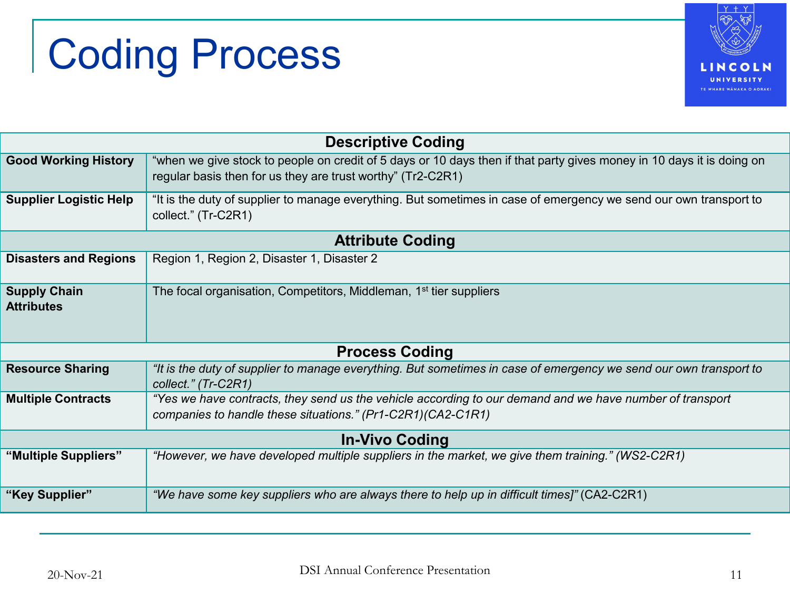## Coding Process



| <b>Descriptive Coding</b>                |                                                                                                                                                                                      |  |  |  |
|------------------------------------------|--------------------------------------------------------------------------------------------------------------------------------------------------------------------------------------|--|--|--|
| <b>Good Working History</b>              | "when we give stock to people on credit of 5 days or 10 days then if that party gives money in 10 days it is doing on<br>regular basis then for us they are trust worthy" (Tr2-C2R1) |  |  |  |
| <b>Supplier Logistic Help</b>            | "It is the duty of supplier to manage everything. But sometimes in case of emergency we send our own transport to<br>collect." (Tr-C2R1)                                             |  |  |  |
| <b>Attribute Coding</b>                  |                                                                                                                                                                                      |  |  |  |
| <b>Disasters and Regions</b>             | Region 1, Region 2, Disaster 1, Disaster 2                                                                                                                                           |  |  |  |
| <b>Supply Chain</b><br><b>Attributes</b> | The focal organisation, Competitors, Middleman, 1 <sup>st</sup> tier suppliers                                                                                                       |  |  |  |
| <b>Process Coding</b>                    |                                                                                                                                                                                      |  |  |  |
| <b>Resource Sharing</b>                  | "It is the duty of supplier to manage everything. But sometimes in case of emergency we send our own transport to<br>collect." (Tr-C2R1)                                             |  |  |  |
| <b>Multiple Contracts</b>                | "Yes we have contracts, they send us the vehicle according to our demand and we have number of transport<br>companies to handle these situations." (Pr1-C2R1) (CA2-C1R1)             |  |  |  |
| <b>In-Vivo Coding</b>                    |                                                                                                                                                                                      |  |  |  |
| "Multiple Suppliers"                     | "However, we have developed multiple suppliers in the market, we give them training." (WS2-C2R1)                                                                                     |  |  |  |
| "Key Supplier"                           | "We have some key suppliers who are always there to help up in difficult times]" (CA2-C2R1)                                                                                          |  |  |  |
|                                          |                                                                                                                                                                                      |  |  |  |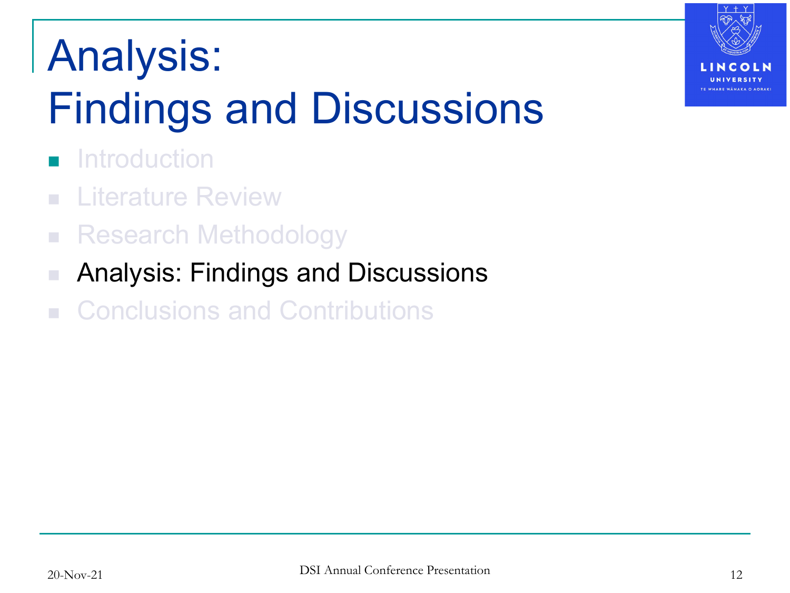## Analysis: Findings and Discussions

- **Introduction**
- **Literature Review**
- **Research Methodology**
- Analysis: Findings and Discussions
- Conclusions and Contributions

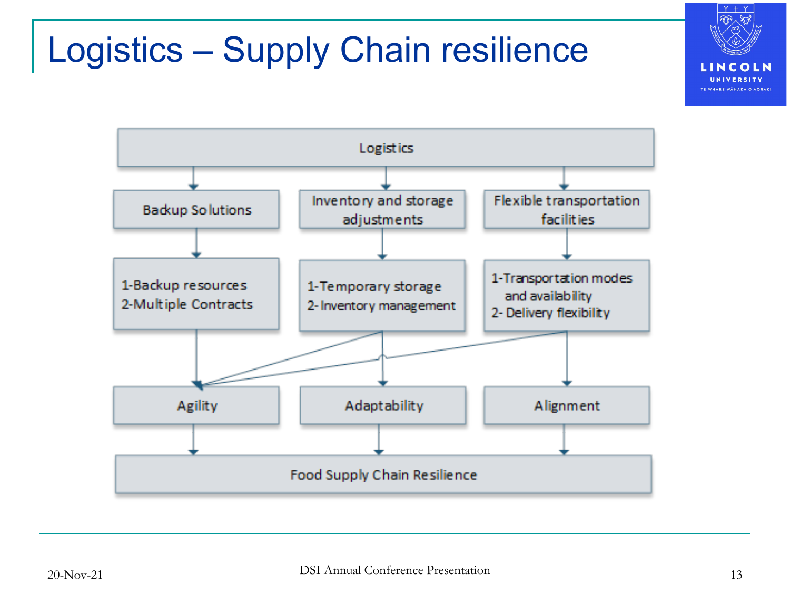#### Logistics – Supply Chain resilience



LINCOLN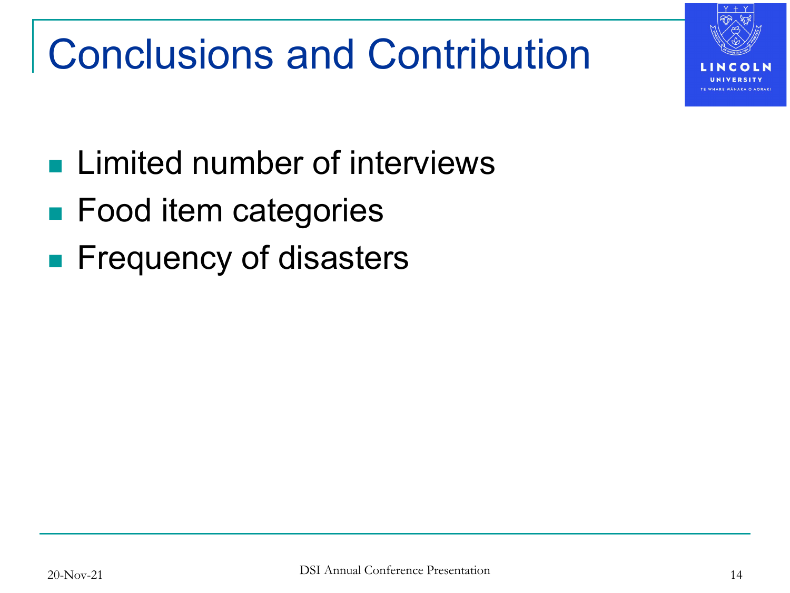

### Conclusions and Contribution

- **Limited number of interviews**
- Food item categories
- **Filte Frequency of disasters**